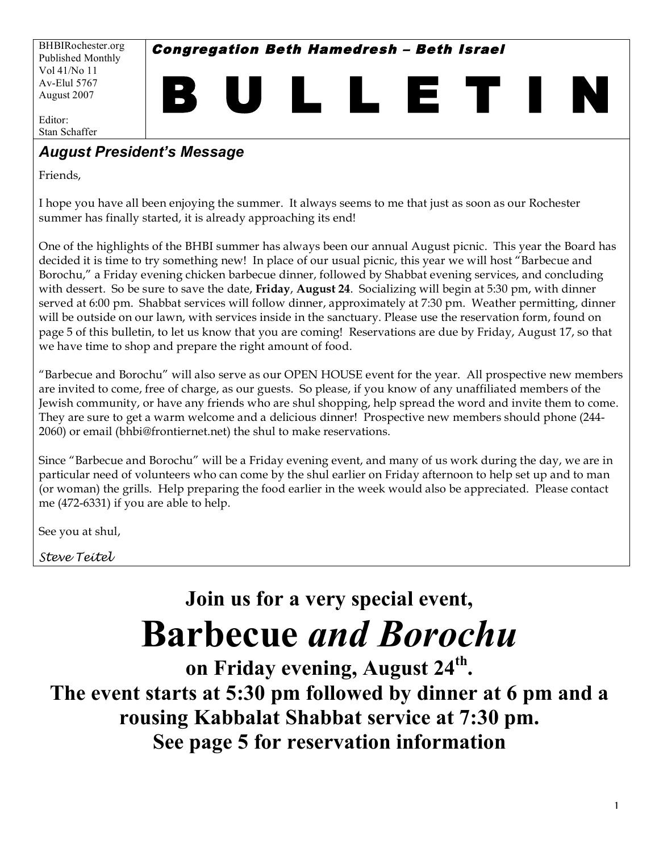BHBIRochester.org Published Monthly Vol 41/No 11 Av-Elul 5767 August 2007

Congregation Beth Hamedresh – Beth Israel

B U L L E T I N

Editor: Stan Schaffer

# *August President's Message*

Friends,

I hope you have all been enjoying the summer. It always seems to me that just as soon as our Rochester summer has finally started, it is already approaching its end!

One of the highlights of the BHBI summer has always been our annual August picnic. This year the Board has decided it is time to try something new! In place of our usual picnic, this year we will host "Barbecue and Borochu," a Friday evening chicken barbecue dinner, followed by Shabbat evening services, and concluding with dessert. So be sure to save the date, **Friday**, **August 24**. Socializing will begin at 5:30 pm, with dinner served at 6:00 pm. Shabbat services will follow dinner, approximately at 7:30 pm. Weather permitting, dinner will be outside on our lawn, with services inside in the sanctuary. Please use the reservation form, found on page 5 of this bulletin, to let us know that you are coming! Reservations are due by Friday, August 17, so that we have time to shop and prepare the right amount of food.

"Barbecue and Borochu" will also serve as our OPEN HOUSE event for the year. All prospective new members are invited to come, free of charge, as our guests. So please, if you know of any unaffiliated members of the Jewish community, or have any friends who are shul shopping, help spread the word and invite them to come. They are sure to get a warm welcome and a delicious dinner! Prospective new members should phone (244- 2060) or email (bhbi@frontiernet.net) the shul to make reservations.

Since "Barbecue and Borochu" will be a Friday evening event, and many of us work during the day, we are in particular need of volunteers who can come by the shul earlier on Friday afternoon to help set up and to man (or woman) the grills. Help preparing the food earlier in the week would also be appreciated. Please contact me (472-6331) if you are able to help.

See you at shul,

*Steve Teitel*

# **Join us for a very special event, Barbecue** *and Borochu*

**on Friday evening, August 24th. The event starts at 5:30 pm followed by dinner at 6 pm and a rousing Kabbalat Shabbat service at 7:30 pm. See page 5 for reservation information**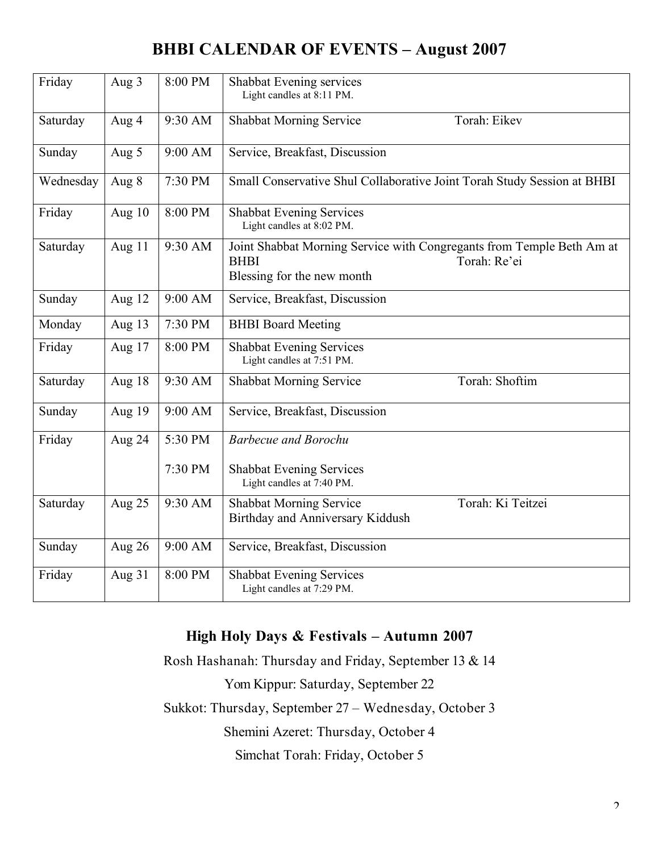# **BHBI CALENDAR OF EVENTS – August 2007**

| Friday    | Aug 3  | 8:00 PM | Shabbat Evening services<br>Light candles at 8:11 PM.                                                                              |  |
|-----------|--------|---------|------------------------------------------------------------------------------------------------------------------------------------|--|
| Saturday  | Aug 4  | 9:30 AM | <b>Shabbat Morning Service</b><br>Torah: Eikev                                                                                     |  |
| Sunday    | Aug 5  | 9:00 AM | Service, Breakfast, Discussion                                                                                                     |  |
| Wednesday | Aug 8  | 7:30 PM | Small Conservative Shul Collaborative Joint Torah Study Session at BHBI                                                            |  |
| Friday    | Aug 10 | 8:00 PM | <b>Shabbat Evening Services</b><br>Light candles at 8:02 PM.                                                                       |  |
| Saturday  | Aug 11 | 9:30 AM | Joint Shabbat Morning Service with Congregants from Temple Beth Am at<br><b>BHBI</b><br>Torah: Re'ei<br>Blessing for the new month |  |
| Sunday    | Aug 12 | 9:00 AM | Service, Breakfast, Discussion                                                                                                     |  |
| Monday    | Aug 13 | 7:30 PM | <b>BHBI</b> Board Meeting                                                                                                          |  |
| Friday    | Aug 17 | 8:00 PM | <b>Shabbat Evening Services</b><br>Light candles at 7:51 PM.                                                                       |  |
| Saturday  | Aug 18 | 9:30 AM | Torah: Shoftim<br><b>Shabbat Morning Service</b>                                                                                   |  |
| Sunday    | Aug 19 | 9:00 AM | Service, Breakfast, Discussion                                                                                                     |  |
| Friday    | Aug 24 | 5:30 PM | <b>Barbecue and Borochu</b>                                                                                                        |  |
|           |        | 7:30 PM | <b>Shabbat Evening Services</b><br>Light candles at 7:40 PM.                                                                       |  |
| Saturday  | Aug 25 | 9:30 AM | Torah: Ki Teitzei<br><b>Shabbat Morning Service</b><br>Birthday and Anniversary Kiddush                                            |  |
| Sunday    | Aug 26 | 9:00 AM | Service, Breakfast, Discussion                                                                                                     |  |
| Friday    | Aug 31 | 8:00 PM | <b>Shabbat Evening Services</b><br>Light candles at 7:29 PM.                                                                       |  |

## **High Holy Days & Festivals – Autumn 2007**

Rosh Hashanah: Thursday and Friday, September 13 & 14 Yom Kippur: Saturday, September 22 Sukkot: Thursday, September 27 – Wednesday, October 3 Shemini Azeret: Thursday, October 4 Simchat Torah: Friday, October 5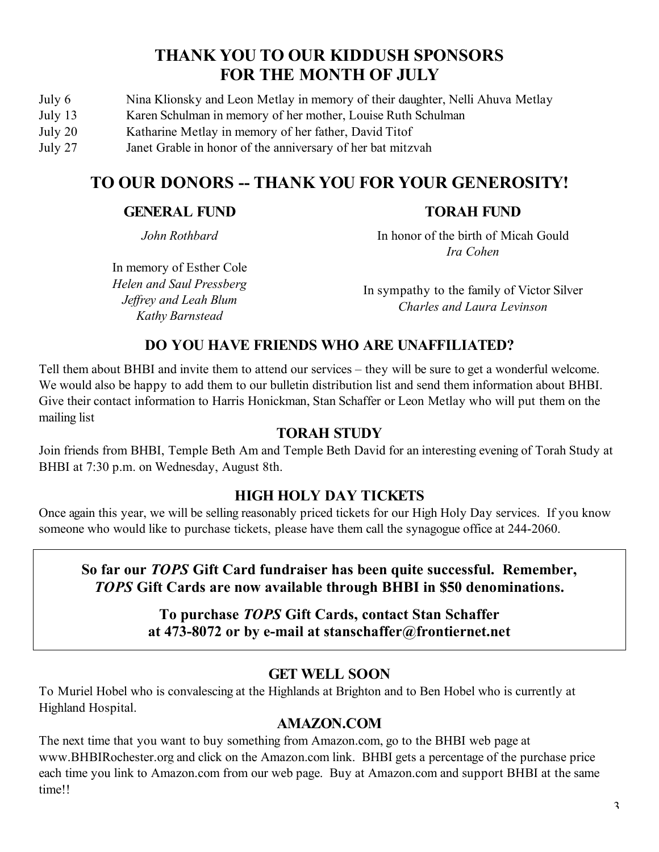# **THANK YOU TO OUR KIDDUSH SPONSORS FOR THE MONTH OF JULY**

- July 6 Nina Klionsky and Leon Metlay in memory of their daughter, Nelli Ahuva Metlay
- July 13 Karen Schulman in memory of her mother, Louise Ruth Schulman
- July 20 Katharine Metlay in memory of her father, David Titof
- July 27 Janet Grable in honor of the anniversary of her bat mitzvah

# **TO OUR DONORS -- THANK YOU FOR YOUR GENEROSITY!**

#### **GENERAL FUND**

#### **TORAH FUND**

*John Rothbard*

In memory of Esther Cole *Helen and Saul Pressberg Jeffrey and Leah Blum Kathy Barnstead*

In honor of the birth of Micah Gould *Ira Cohen*

In sympathy to the family of Victor Silver *Charles and Laura Levinson*

### **DO YOU HAVE FRIENDS WHO ARE UNAFFILIATED?**

Tell them about BHBI and invite them to attend our services – they will be sure to get a wonderful welcome. We would also be happy to add them to our bulletin distribution list and send them information about BHBI. Give their contact information to Harris Honickman, Stan Schaffer or Leon Metlay who will put them on the mailing list

#### **TORAH STUDY**

Join friends from BHBI, Temple Beth Am and Temple Beth David for an interesting evening of Torah Study at BHBI at 7:30 p.m. on Wednesday, August 8th.

### **HIGH HOLY DAY TICKETS**

Once again this year, we will be selling reasonably priced tickets for our High Holy Day services. If you know someone who would like to purchase tickets, please have them call the synagogue office at 244-2060.

## **So far our** *TOPS* **Gift Card fundraiser has been quite successful. Remember,** *TOPS* **Gift Cards are now available through BHBI in \$50 denominations.**

#### **To purchase** *TOPS* **Gift Cards, contact Stan Schaffer at 473-8072 or by e-mail at stanschaffer@frontiernet.net**

### **GET WELL SOON**

To Muriel Hobel who is convalescing at the Highlands at Brighton and to Ben Hobel who is currently at Highland Hospital.

### **AMAZON.COM**

The next time that you want to buy something from Amazon.com, go to the BHBI web page at www.BHBIRochester.org and click on the Amazon.com link. BHBI gets a percentage of the purchase price each time you link to Amazon.com from our web page. Buy at Amazon.com and support BHBI at the same time!!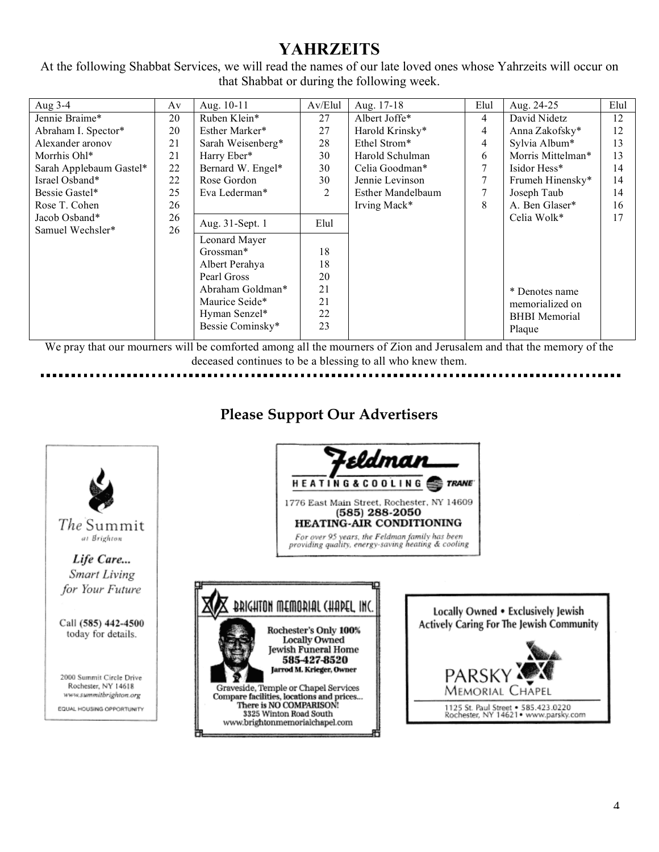# **YAHRZEITS**

At the following Shabbat Services, we will read the names of our late loved ones whose Yahrzeits will occur on that Shabbat or during the following week.

| Aug 3-4                 | Av | Aug. 10-11        | Av/Elul | Aug. 17-18        | Elul   | Aug. 24-25           | Elul |
|-------------------------|----|-------------------|---------|-------------------|--------|----------------------|------|
| Jennie Braime*          | 20 | Ruben Klein*      | 27      | Albert Joffe*     | 4      | David Nidetz         | 12   |
| Abraham I. Spector*     | 20 | Esther Marker*    | 27      | Harold Krinsky*   | 4      | Anna Zakofsky*       | 12   |
| Alexander aronov        | 21 | Sarah Weisenberg* | 28      | Ethel Strom*      | 4      | Sylvia Album*        | 13   |
| Morrhis Ohl*            | 21 | Harry Eber*       | 30      | Harold Schulman   | 6      | Morris Mittelman*    | 13   |
| Sarah Applebaum Gastel* | 22 | Bernard W. Engel* | 30      | Celia Goodman*    | $\tau$ | Isidor Hess*         | 14   |
| Israel Osband*          | 22 | Rose Gordon       | 30      | Jennie Levinson   | 7      | Frumeh Hinensky*     | 14   |
| Bessie Gastel*          | 25 | Eva Lederman*     | 2       | Esther Mandelbaum | 7      | Joseph Taub          | 14   |
| Rose T. Cohen           | 26 |                   |         | Irving Mack*      | 8      | A. Ben Glaser*       | 16   |
| Jacob Osband*           | 26 | Aug. 31-Sept. 1   | Elul    |                   |        | Celia Wolk*          | 17   |
| Samuel Wechsler*        | 26 |                   |         |                   |        |                      |      |
|                         |    | Leonard Mayer     |         |                   |        |                      |      |
|                         |    | Grossman*         | 18      |                   |        |                      |      |
|                         |    | Albert Perahya    | 18      |                   |        |                      |      |
|                         |    | Pearl Gross       | 20      |                   |        |                      |      |
|                         |    | Abraham Goldman*  | 21      |                   |        | * Denotes name       |      |
|                         |    | Maurice Seide*    | 21      |                   |        | memorialized on      |      |
|                         |    | Hyman Senzel*     | 22      |                   |        | <b>BHBI</b> Memorial |      |
|                         |    | Bessie Cominsky*  | 23      |                   |        | Plaque               |      |
|                         |    |                   |         |                   |        |                      |      |

We pray that our mourners will be comforted among all the mourners of Zion and Jerusalem and that the memory of the deceased continues to be a blessing to all who knew them. 

## **Please Support Our Advertisers**

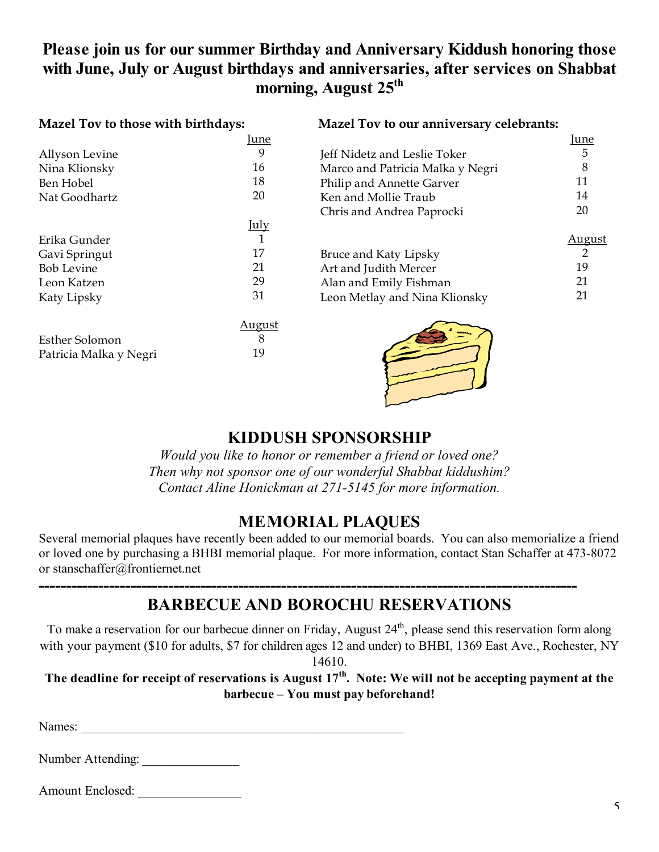# **Please join us for our summer Birthday and Anniversary Kiddush honoring those with June, July or August birthdays and anniversaries, after services on Shabbat morning, August 25th**

#### **Mazel Tov to those with birthdays: Mazel Tov to our anniversary celebrants:**

|                        | <u>June</u>   |                                  | <b>June</b>    |
|------------------------|---------------|----------------------------------|----------------|
| Allyson Levine         | 9             | Jeff Nidetz and Leslie Toker     | 5              |
| Nina Klionsky          | 16            | Marco and Patricia Malka y Negri | 8              |
| Ben Hobel              | 18            | Philip and Annette Garver        | 11             |
| Nat Goodhartz          | 20            | Ken and Mollie Traub             | 14             |
|                        |               | Chris and Andrea Paprocki        | 20             |
|                        | <u>July</u>   |                                  |                |
| Erika Gunder           | $\mathbf{1}$  |                                  | <u>August</u>  |
| Gavi Springut          | 17            | Bruce and Katy Lipsky            | $\overline{2}$ |
| <b>Bob Levine</b>      | 21            | Art and Judith Mercer            | 19             |
| Leon Katzen            | 29            | Alan and Emily Fishman           | 21             |
| Katy Lipsky            | 31            | Leon Metlay and Nina Klionsky    | 21             |
|                        | <u>August</u> |                                  |                |
| <b>Esther Solomon</b>  | 8             |                                  |                |
| Patricia Malka y Negri | 19            |                                  |                |

## **KIDDUSH SPONSORSHIP**

*Would you like to honor or remember a friend or loved one? Then why not sponsor one of our wonderful Shabbat kiddushim? Contact Aline Honickman at 271-5145 for more information.*

## **MEMORIAL PLAQUES**

Several memorial plaques have recently been added to our memorial boards. You can also memorialize a friend or loved one by purchasing a BHBI memorial plaque. For more information, contact Stan Schaffer at 473-8072 or stanschaffer@frontiernet.net

# **BARBECUE AND BOROCHU RESERVATIONS**

**----------------------------------------------------------------------------------------------------**

To make a reservation for our barbecue dinner on Friday, August 24<sup>th</sup>, please send this reservation form along with your payment (\$10 for adults, \$7 for children ages 12 and under) to BHBI, 1369 East Ave., Rochester, NY

14610.

The deadline for receipt of reservations is August  $17<sup>th</sup>$ . Note: We will not be accepting payment at the **barbecue – You must pay beforehand!**

| Names: |  |
|--------|--|
|        |  |

Number Attending:

| Amount Enclosed: |  |
|------------------|--|
|                  |  |